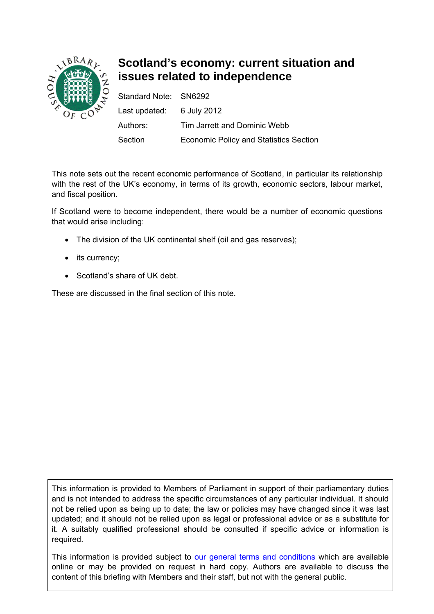

# **Scotland's economy: current situation and issues related to independence**

| Standard Note: SN6292     |                                               |
|---------------------------|-----------------------------------------------|
| Last updated: 6 July 2012 |                                               |
| Authors:                  | Tim Jarrett and Dominic Webb                  |
| Section                   | <b>Economic Policy and Statistics Section</b> |

This note sets out the recent economic performance of Scotland, in particular its relationship with the rest of the UK's economy, in terms of its growth, economic sectors, labour market, and fiscal position.

If Scotland were to become independent, there would be a number of economic questions that would arise including:

- The division of the UK continental shelf (oil and gas reserves);
- its currency;
- Scotland's share of UK debt.

These are discussed in the final section of this note.

This information is provided to Members of Parliament in support of their parliamentary duties and is not intended to address the specific circumstances of any particular individual. It should not be relied upon as being up to date; the law or policies may have changed since it was last updated; and it should not be relied upon as legal or professional advice or as a substitute for it. A suitably qualified professional should be consulted if specific advice or information is required.

This information is provided subject to [our general terms and conditions](http://www.parliament.uk/site_information/parliamentary_copyright.cfm) which are available online or may be provided on request in hard copy. Authors are available to discuss the content of this briefing with Members and their staff, but not with the general public.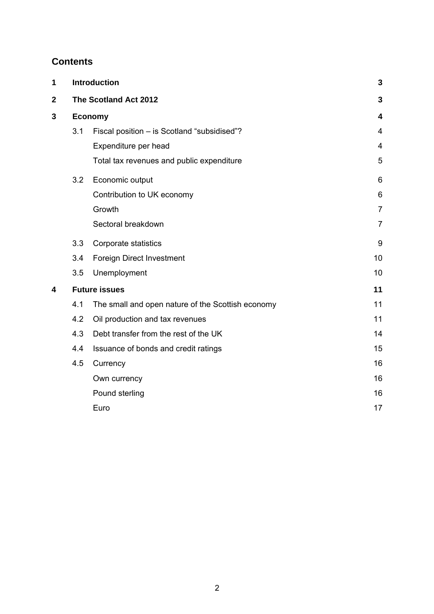## **Contents**

| 1           | <b>Introduction</b>  | 3                                                 |                |  |
|-------------|----------------------|---------------------------------------------------|----------------|--|
| $\mathbf 2$ |                      | The Scotland Act 2012                             | 3              |  |
| 3           | <b>Economy</b>       |                                                   |                |  |
|             | 3.1                  | Fiscal position - is Scotland "subsidised"?       | 4              |  |
|             |                      | Expenditure per head                              | $\overline{4}$ |  |
|             |                      | Total tax revenues and public expenditure         | 5              |  |
|             | 3.2                  | Economic output                                   | 6              |  |
|             |                      | Contribution to UK economy                        | 6              |  |
|             |                      | Growth                                            | $\overline{7}$ |  |
|             |                      | Sectoral breakdown                                | $\overline{7}$ |  |
|             | 3.3                  | Corporate statistics                              | 9              |  |
|             | 3.4                  | <b>Foreign Direct Investment</b>                  | 10             |  |
|             | 3.5                  | Unemployment                                      | 10             |  |
| 4           | <b>Future issues</b> | 11                                                |                |  |
|             | 4.1                  | The small and open nature of the Scottish economy | 11             |  |
|             | 4.2                  | Oil production and tax revenues                   | 11             |  |
|             | 4.3                  | Debt transfer from the rest of the UK             | 14             |  |
|             | 4.4                  | Issuance of bonds and credit ratings              | 15             |  |
|             | 4.5                  | Currency                                          | 16             |  |
|             |                      | Own currency                                      | 16             |  |
|             |                      | Pound sterling                                    | 16             |  |
|             |                      | Euro                                              | 17             |  |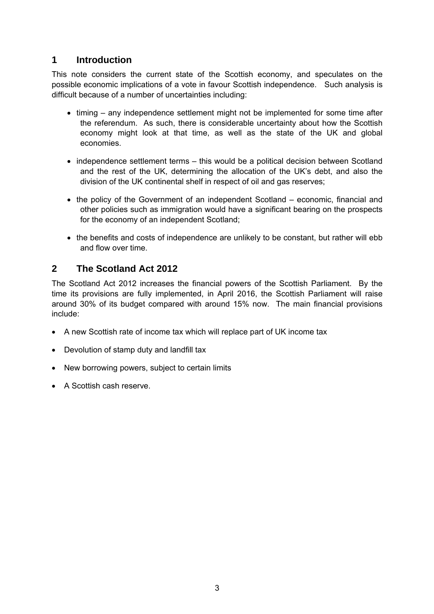## <span id="page-2-0"></span>**1 Introduction**

This note considers the current state of the Scottish economy, and speculates on the possible economic implications of a vote in favour Scottish independence. Such analysis is difficult because of a number of uncertainties including:

- timing any independence settlement might not be implemented for some time after the referendum. As such, there is considerable uncertainty about how the Scottish economy might look at that time, as well as the state of the UK and global economies.
- independence settlement terms this would be a political decision between Scotland and the rest of the UK, determining the allocation of the UK's debt, and also the division of the UK continental shelf in respect of oil and gas reserves;
- the policy of the Government of an independent Scotland economic, financial and other policies such as immigration would have a significant bearing on the prospects for the economy of an independent Scotland;
- the benefits and costs of independence are unlikely to be constant, but rather will ebb and flow over time.

## **2 The Scotland Act 2012**

The Scotland Act 2012 increases the financial powers of the Scottish Parliament. By the time its provisions are fully implemented, in April 2016, the Scottish Parliament will raise around 30% of its budget compared with around 15% now. The main financial provisions include:

- A new Scottish rate of income tax which will replace part of UK income tax
- Devolution of stamp duty and landfill tax
- New borrowing powers, subject to certain limits
- A Scottish cash reserve.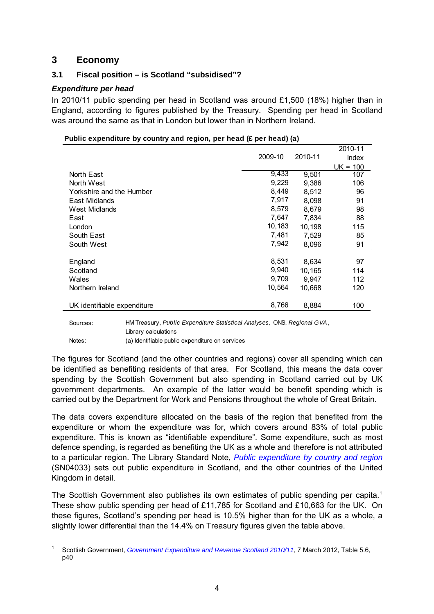## <span id="page-3-0"></span>**3 Economy**

## **3.1 Fiscal position – is Scotland "subsidised"?**

## *Expenditure per head*

In 2010/11 public spending per head in Scotland was around £1,500 (18%) higher than in England, according to figures published by the Treasury. Spending per head in Scotland was around the same as that in London but lower than in Northern Ireland.

|                             |         |         | 2010-11      |
|-----------------------------|---------|---------|--------------|
|                             | 2009-10 | 2010-11 | <b>Index</b> |
|                             |         |         | $UK = 100$   |
| North East                  | 9,433   | 9,501   | 107          |
| North West                  | 9,229   | 9,386   | 106          |
| Yorkshire and the Humber    | 8,449   | 8,512   | 96           |
| East Midlands               | 7,917   | 8,098   | 91           |
| West Midlands               | 8,579   | 8,679   | 98           |
| East                        | 7,647   | 7,834   | 88           |
| London                      | 10,183  | 10,198  | 115          |
| South East                  | 7,481   | 7,529   | 85           |
| South West                  | 7,942   | 8,096   | 91           |
|                             |         |         |              |
| England                     | 8,531   | 8,634   | 97           |
| Scotland                    | 9,940   | 10,165  | 114          |
| Wales                       | 9,709   | 9,947   | 112          |
| Northern Ireland            | 10,564  | 10,668  | 120          |
| UK identifiable expenditure | 8,766   | 8,884   | 100          |
|                             |         |         |              |

#### **Public expenditure by country and region, per head (£ per head) (a)**

Sources: HM Treasury, *Public Expenditure Statistical Analyses,* ONS, *Regional GVA*, Library calculations Notes: (a) Identifiable public expenditure on services

The figures for Scotland (and the other countries and regions) cover all spending which can be identified as benefiting residents of that area. For Scotland, this means the data cover spending by the Scottish Government but also spending in Scotland carried out by UK government departments. An example of the latter would be benefit spending which is carried out by the Department for Work and Pensions throughout the whole of Great Britain.

The data covers expenditure allocated on the basis of the region that benefited from the expenditure or whom the expenditure was for, which covers around 83% of total public expenditure. This is known as "identifiable expenditure". Some expenditure, such as most defence spending, is regarded as benefiting the UK as a whole and therefore is not attributed to a particular region. The Library Standard Note, *[Public expenditure by country and region](http://www.parliament.uk/briefing-papers/SN04033.pdf)* (SN04033) sets out public expenditure in Scotland, and the other countries of the United Kingdom in detail.

The Scottish Government also publishes its own estimates of public spending per capita.<sup>[1](#page-3-1)</sup> These show public spending per head of £11,785 for Scotland and £10,663 for the UK. On these figures, Scotland's spending per head is 10.5% higher than for the UK as a whole, a slightly lower differential than the 14.4% on Treasury figures given the table above.

<span id="page-3-1"></span><sup>1</sup> Scottish Government, *[Government Expenditure and Revenue Scotland 2010/11](http://www.scotland.gov.uk/Resource/0038/00389321.pdf)*, 7 March 2012, Table 5.6, p40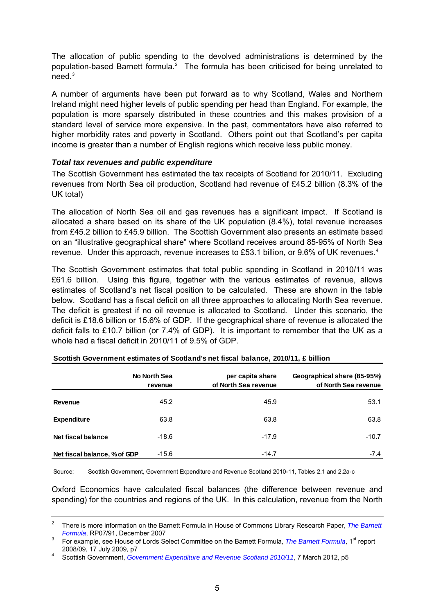<span id="page-4-0"></span>The allocation of public spending to the devolved administrations is determined by the population-based Barnett formula.<sup>[2](#page-4-1)</sup> The formula has been criticised for being unrelated to need. $^3$  $^3$ 

A number of arguments have been put forward as to why Scotland, Wales and Northern Ireland might need higher levels of public spending per head than England. For example, the population is more sparsely distributed in these countries and this makes provision of a standard level of service more expensive. In the past, commentators have also referred to higher morbidity rates and poverty in Scotland. Others point out that Scotland's per capita income is greater than a number of English regions which receive less public money.

## *Total tax revenues and public expenditure*

The Scottish Government has estimated the tax receipts of Scotland for 2010/11. Excluding revenues from North Sea oil production, Scotland had revenue of £45.2 billion (8.3% of the UK total)

The allocation of North Sea oil and gas revenues has a significant impact. If Scotland is allocated a share based on its share of the UK population (8.4%), total revenue increases from £45.2 billion to £45.9 billion. The Scottish Government also presents an estimate based on an "illustrative geographical share" where Scotland receives around 85-95% of North Sea revenue. Under this approach, revenue increases to £53.1 billion, or 9.6% of UK revenues.<sup>[4](#page-4-3)</sup>

The Scottish Government estimates that total public spending in Scotland in 2010/11 was £61.6 billion. Using this figure, together with the various estimates of revenue, allows estimates of Scotland's net fiscal position to be calculated. These are shown in the table below. Scotland has a fiscal deficit on all three approaches to allocating North Sea revenue. The deficit is greatest if no oil revenue is allocated to Scotland. Under this scenario, the deficit is £18.6 billion or 15.6% of GDP. If the geographical share of revenue is allocated the deficit falls to £10.7 billion (or 7.4% of GDP). It is important to remember that the UK as a whole had a fiscal deficit in 2010/11 of 9.5% of GDP.

|                              | No North Sea<br>revenue | per capita share<br>of North Sea revenue | Geographical share (85-95%)<br>of North Sea revenue |
|------------------------------|-------------------------|------------------------------------------|-----------------------------------------------------|
| Revenue                      | 45.2                    | 45.9                                     | 53.1                                                |
| <b>Expenditure</b>           | 63.8                    | 63.8                                     | 63.8                                                |
| Net fiscal balance           | $-18.6$                 | $-17.9$                                  | $-10.7$                                             |
| Net fiscal balance, % of GDP | $-15.6$                 | $-14.7$                                  | $-7.4$                                              |

| Scottish Government estimates of Scotland's net fiscal balance, 2010/11, £ billion |  |
|------------------------------------------------------------------------------------|--|
|------------------------------------------------------------------------------------|--|

Source: Scottish Government, Government Expenditure and Revenue Scotland 2010-11, Tables 2.1 and 2.2a-c

Oxford Economics have calculated fiscal balances (the difference between revenue and spending) for the countries and regions of the UK. In this calculation, revenue from the North

<span id="page-4-1"></span><sup>2</sup> There is more information on the Barnett Formula in House of Commons Library Research Paper, *[The Barnett](http://www.parliament.uk/briefing-papers/commons-research-papers/Economy-and-finance/Public-expenditure/2007)  Formula*, RP07/91, December 2007

<span id="page-4-2"></span>For example, see House of Lords Select Committee on the Barnett Formula, *[The Barnett Formula](http://www.publications.parliament.uk/pa/ld200809/ldselect/ldbarnett/139/139.pdf)*, 1<sup>st</sup> report 2008/09, 17 July 2009, p7 4

<span id="page-4-3"></span>Scottish Government, *[Government Expenditure and Revenue Scotland 2010/11](http://www.scotland.gov.uk/Resource/0038/00389321.pdf)*, 7 March 2012, p5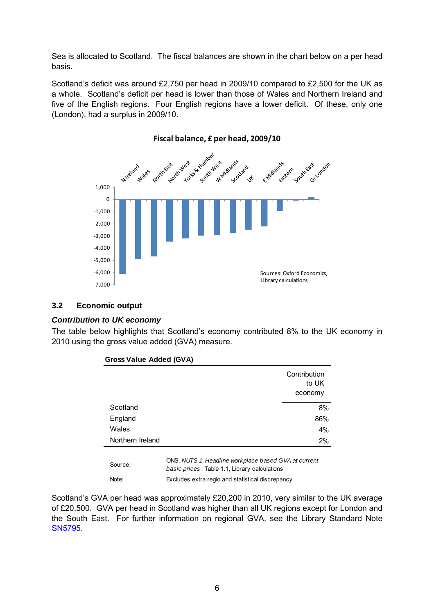<span id="page-5-0"></span>Sea is allocated to Scotland. The fiscal balances are shown in the chart below on a per head basis.

Scotland's deficit was around £2,750 per head in 2009/10 compared to £2,500 for the UK as a whole. Scotland's deficit per head is lower than those of Wales and Northern Ireland and five of the English regions. Four English regions have a lower deficit. Of these, only one (London), had a surplus in 2009/10.



## **Fiscal balance, £ per head, 2009/10**

## **3.2 Economic output**

## *Contribution to UK economy*

The table below highlights that Scotland's economy contributed 8% to the UK economy in 2010 using the gross value added (GVA) measure.

|                  | Contribution<br>to UK |
|------------------|-----------------------|
|                  | economy               |
| Scotland         | 8%                    |
| England          | 86%                   |
| Wales            | 4%                    |
| Northern Ireland | 2%                    |

Source: Note: Excludes extra regio and statistical discrepancy ONS, *NUTS 1 Headline workplace based GVA at current basic prices* , Table 1.1, Library calculations

Scotland's GVA per head was approximately £20,200 in 2010, very similar to the UK average of £20,500. GVA per head in Scotland was higher than all UK regions except for London and the South East. For further information on regional GVA, see the Library Standard Note [SN5795.](http://www.parliament.uk/briefing-papers/SN05795)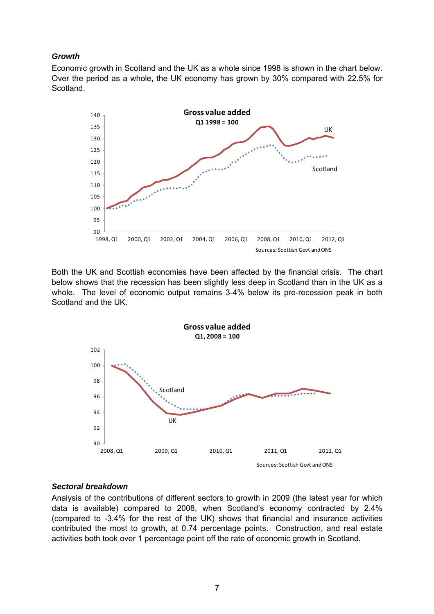## <span id="page-6-0"></span>*Growth*

Economic growth in Scotland and the UK as a whole since 1998 is shown in the chart below. Over the period as a whole, the UK economy has grown by 30% compared with 22.5% for **Scotland** 



Both the UK and Scottish economies have been affected by the financial crisis. The chart below shows that the recession has been slightly less deep in Scotland than in the UK as a whole. The level of economic output remains 3-4% below its pre-recession peak in both Scotland and the UK.



## *Sectoral breakdown*

Analysis of the contributions of different sectors to growth in 2009 (the latest year for which data is available) compared to 2008, when Scotland's economy contracted by 2.4% (compared to -3.4% for the rest of the UK) shows that financial and insurance activities contributed the most to growth, at 0.74 percentage points. Construction, and real estate activities both took over 1 percentage point off the rate of economic growth in Scotland.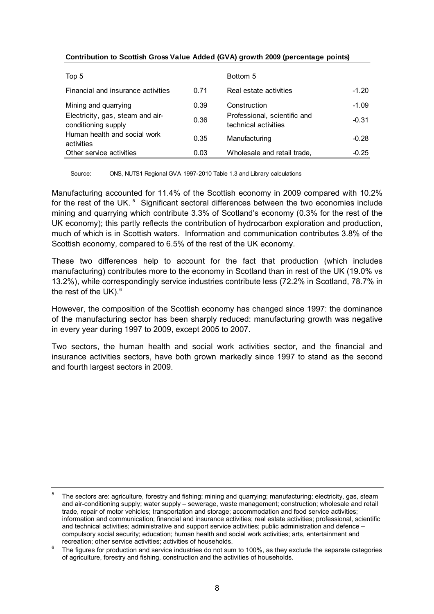| Top 5                                                   |      | Bottom 5                                             |         |
|---------------------------------------------------------|------|------------------------------------------------------|---------|
| Financial and insurance activities                      | 0.71 | Real estate activities                               | $-1.20$ |
| Mining and quarrying                                    | 0.39 | Construction                                         | $-1.09$ |
| Electricity, gas, steam and air-<br>conditioning supply | 0.36 | Professional, scientific and<br>technical activities | $-0.31$ |
| Human health and social work<br>activities              | 0.35 | Manufacturing                                        | $-0.28$ |
| Other service activities                                | 0.03 | Wholesale and retail trade,                          | $-0.25$ |

#### **Contribution to Scottish Gross Value Added (GVA) growth 2009 (percentage points)**

Source: ONS, NUTS1 Regional GVA 1997-2010 Table 1.3 and Library calculations

Manufacturing accounted for 11.4% of the Scottish economy in 2009 compared with 10.2% for the rest of the UK.<sup>[5](#page-7-0)</sup> Significant sectoral differences between the two economies include mining and quarrying which contribute 3.3% of Scotland's economy (0.3% for the rest of the UK economy); this partly reflects the contribution of hydrocarbon exploration and production, much of which is in Scottish waters. Information and communication contributes 3.8% of the Scottish economy, compared to 6.5% of the rest of the UK economy.

These two differences help to account for the fact that production (which includes manufacturing) contributes more to the economy in Scotland than in rest of the UK (19.0% vs 13.2%), while correspondingly service industries contribute less (72.2% in Scotland, 78.7% in the rest of the UK $1.6$  $1.6$ 

However, the composition of the Scottish economy has changed since 1997: the dominance of the manufacturing sector has been sharply reduced: manufacturing growth was negative in every year during 1997 to 2009, except 2005 to 2007.

Two sectors, the human health and social work activities sector, and the financial and insurance activities sectors, have both grown markedly since 1997 to stand as the second and fourth largest sectors in 2009.

<span id="page-7-0"></span><sup>5</sup> The sectors are: agriculture, forestry and fishing; mining and quarrying; manufacturing; electricity, gas, steam and air-conditioning supply; water supply – sewerage, waste management; construction; wholesale and retail trade, repair of motor vehicles; transportation and storage; accommodation and food service activities; information and communication; financial and insurance activities; real estate activities; professional, scientific and technical activities; administrative and support service activities; public administration and defence – compulsory social security; education; human health and social work activities; arts, entertainment and recreation; other service activities; activities of households.

<span id="page-7-1"></span>The figures for production and service industries do not sum to 100%, as they exclude the separate categories of agriculture, forestry and fishing, construction and the activities of households.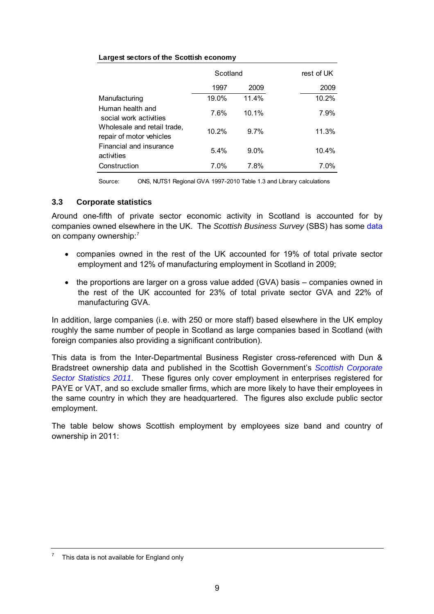#### <span id="page-8-0"></span>**Largest sectors of the Scottish economy**

|                                                         | Scotland | rest of UK |         |
|---------------------------------------------------------|----------|------------|---------|
|                                                         | 1997     | 2009       | 2009    |
| Manufacturing                                           | 19.0%    | 11.4%      | 10.2%   |
| Human health and<br>social work activities              | 7.6%     | 10.1%      | 7.9%    |
| Wholesale and retail trade,<br>repair of motor vehicles | 10.2%    | 9.7%       | 11.3%   |
| Financial and insurance<br>activities                   | 5.4%     | $9.0\%$    | 10.4%   |
| Construction                                            | 7.0%     | 7.8%       | $7.0\%$ |

Source: ONS, NUTS1 Regional GVA 1997-2010 Table 1.3 and Library calculations

## **3.3 Corporate statistics**

Around one-fifth of private sector economic activity in Scotland is accounted for by companies owned elsewhere in the UK. The *Scottish Business Survey* (SBS) has some [data](http://www.scotland.gov.uk/Resource/Doc/933/0123777.pdf#page=52) on company ownership:<sup>[7](#page-8-1)</sup>

- companies owned in the rest of the UK accounted for 19% of total private sector employment and 12% of manufacturing employment in Scotland in 2009;
- the proportions are larger on a gross value added (GVA) basis companies owned in the rest of the UK accounted for 23% of total private sector GVA and 22% of manufacturing GVA.

In addition, large companies (i.e. with 250 or more staff) based elsewhere in the UK employ roughly the same number of people in Scotland as large companies based in Scotland (with foreign companies also providing a significant contribution).

This data is from the Inter-Departmental Business Register cross-referenced with Dun & Bradstreet ownership data and published in the Scottish Government's *[Scottish Corporate](http://www.scotland.gov.uk/Topics/Statistics/Browse/Business/Corporate)  [Sector Statistics 2011](http://www.scotland.gov.uk/Topics/Statistics/Browse/Business/Corporate)*. These figures only cover employment in enterprises registered for PAYE or VAT, and so exclude smaller firms, which are more likely to have their employees in the same country in which they are headquartered. The figures also exclude public sector employment.

The table below shows Scottish employment by employees size band and country of ownership in 2011:

<span id="page-8-1"></span><sup>7</sup> This data is not available for England only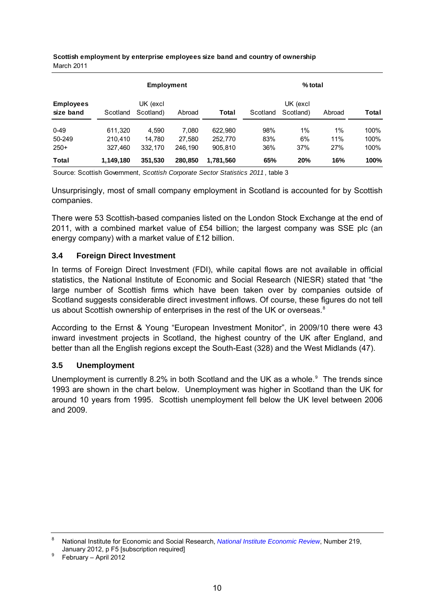|                               | <b>Employment</b> |                       |         |           | $%$ total |                       |        |       |
|-------------------------------|-------------------|-----------------------|---------|-----------|-----------|-----------------------|--------|-------|
| <b>Employees</b><br>size band | Scotland          | UK (excl<br>Scotland) | Abroad  | Total     | Scotland  | UK (excl<br>Scotland) | Abroad | Total |
| $0 - 49$                      | 611.320           | 4.590                 | 7.080   | 622.980   | 98%       | $1\%$                 | $1\%$  | 100%  |
| 50-249                        | 210.410           | 14.780                | 27.580  | 252,770   | 83%       | 6%                    | 11%    | 100%  |
| $250+$                        | 327.460           | 332.170               | 246.190 | 905.810   | 36%       | 37%                   | 27%    | 100%  |
| Total                         | 1,149,180         | 351,530               | 280.850 | 1.781.560 | 65%       | 20%                   | 16%    | 100%  |

<span id="page-9-0"></span>**Scottish employment by enterprise employees size band and country of ownership** March 2011

Source: Scottish Government, *Scottish Corporate Sector Statistics 2011* , table 3

Unsurprisingly, most of small company employment in Scotland is accounted for by Scottish companies.

There were 53 Scottish-based companies listed on the London Stock Exchange at the end of 2011, with a combined market value of £54 billion; the largest company was SSE plc (an energy company) with a market value of £12 billion.

## **3.4 Foreign Direct Investment**

In terms of Foreign Direct Investment (FDI), while capital flows are not available in official statistics, the National Institute of Economic and Social Research (NIESR) stated that "the large number of Scottish firms which have been taken over by companies outside of Scotland suggests considerable direct investment inflows. Of course, these figures do not tell us about Scottish ownership of enterprises in the rest of the UK or overseas.<sup>[8](#page-9-1)</sup>

According to the Ernst & Young "European Investment Monitor", in 2009/10 there were 43 inward investment projects in Scotland, the highest country of the UK after England, and better than all the English regions except the South-East (328) and the West Midlands (47).

## **3.5 Unemployment**

Unemployment is currently 8.2% in both Scotland and the UK as a whole. $9$  The trends since 1993 are shown in the chart below. Unemployment was higher in Scotland than the UK for around 10 years from 1995. Scottish unemployment fell below the UK level between 2006 and 2009.

<span id="page-9-1"></span><sup>8</sup> National Institute for Economic and Social Research, *[National Institute Economic Review](http://ner.sagepub.com/content/219/1/F4.full.pdf)*, Number 219, January 2012, p F5 [subscription required] 9

<span id="page-9-2"></span>February – April 2012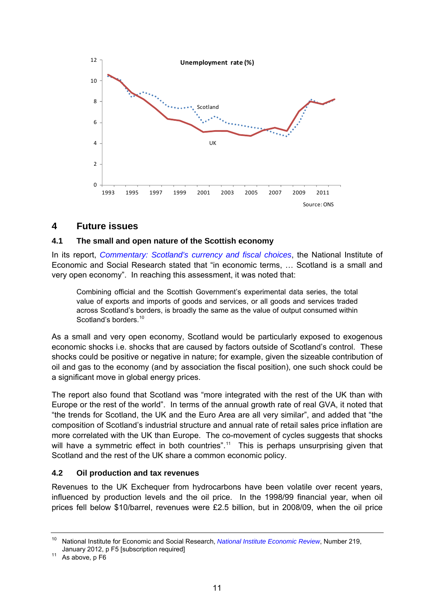<span id="page-10-0"></span>

## **4 Future issues**

## **4.1 The small and open nature of the Scottish economy**

In its report, *[Commentary: Scotland's currency and fiscal choices](http://ner.sagepub.com/content/219/1/F4.full.pdf+html)*, the National Institute of Economic and Social Research stated that "in economic terms, … Scotland is a small and very open economy". In reaching this assessment, it was noted that:

Combining official and the Scottish Government's experimental data series, the total value of exports and imports of goods and services, or all goods and services traded across Scotland's borders, is broadly the same as the value of output consumed within Scotland's borders.<sup>[10](#page-10-1)</sup>

As a small and very open economy, Scotland would be particularly exposed to exogenous economic shocks i.e. shocks that are caused by factors outside of Scotland's control. These shocks could be positive or negative in nature; for example, given the sizeable contribution of oil and gas to the economy (and by association the fiscal position), one such shock could be a significant move in global energy prices.

The report also found that Scotland was "more integrated with the rest of the UK than with Europe or the rest of the world". In terms of the annual growth rate of real GVA, it noted that "the trends for Scotland, the UK and the Euro Area are all very similar", and added that "the composition of Scotland's industrial structure and annual rate of retail sales price inflation are more correlated with the UK than Europe. The co-movement of cycles suggests that shocks will have a symmetric effect in both countries".<sup>[11](#page-10-2)</sup> This is perhaps unsurprising given that Scotland and the rest of the UK share a common economic policy.

## **4.2 Oil production and tax revenues**

Revenues to the UK Exchequer from hydrocarbons have been volatile over recent years, influenced by production levels and the oil price. In the 1998/99 financial year, when oil prices fell below \$10/barrel, revenues were £2.5 billion, but in 2008/09, when the oil price

<span id="page-10-1"></span><sup>10</sup> National Institute for Economic and Social Research, *[National Institute Economic Review](http://ner.sagepub.com/content/219/1/F4.full.pdf)*, Number 219, January 2012, p F5 [subscription required] 11 As above, p F6

<span id="page-10-2"></span>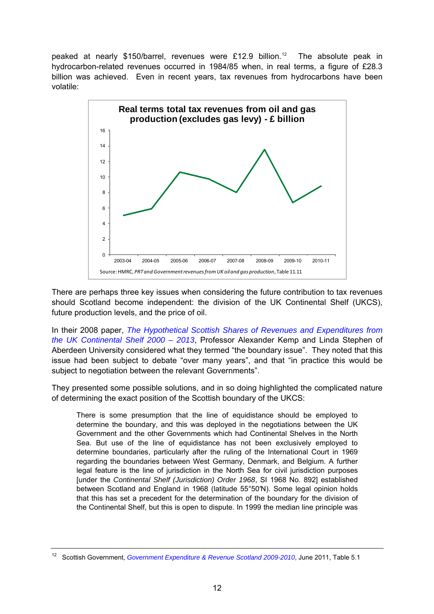peaked at nearly \$150/barrel, revenues were £[12](#page-11-0).9 billion.<sup>12</sup> The absolute peak in hydrocarbon-related revenues occurred in 1984/85 when, in real terms, a figure of £28.3 billion was achieved. Even in recent years, tax revenues from hydrocarbons have been volatile:



There are perhaps three key issues when considering the future contribution to tax revenues should Scotland become independent: the division of the UK Continental Shelf (UKCS), future production levels, and the price of oil.

In their 2008 paper, *[The Hypothetical Scottish Shares of Revenues and Expenditures from](http://www.scotland.gov.uk/Resource/Doc/133434/0061924.pdf)  [the UK Continental Shelf 2000 – 2013](http://www.scotland.gov.uk/Resource/Doc/133434/0061924.pdf)*, Professor Alexander Kemp and Linda Stephen of Aberdeen University considered what they termed "the boundary issue". They noted that this issue had been subject to debate "over many years", and that "in practice this would be subject to negotiation between the relevant Governments".

They presented some possible solutions, and in so doing highlighted the complicated nature of determining the exact position of the Scottish boundary of the UKCS:

There is some presumption that the line of equidistance should be employed to determine the boundary, and this was deployed in the negotiations between the UK Government and the other Governments which had Continental Shelves in the North Sea. But use of the line of equidistance has not been exclusively employed to determine boundaries, particularly after the ruling of the International Court in 1969 regarding the boundaries between West Germany, Denmark, and Belgium. A further legal feature is the line of jurisdiction in the North Sea for civil jurisdiction purposes [under the *Continental Shelf (Jurisdiction) Order 1968*, SI 1968 No. 892] established between Scotland and England in 1968 (latitude 55°50′N). Some legal opinion holds that this has set a precedent for the determination of the boundary for the division of the Continental Shelf, but this is open to dispute. In 1999 the median line principle was

<span id="page-11-0"></span><sup>12</sup> Scottish Government, *[Government Expenditure & Revenue Scotland 2009-2010](http://www.scotland.gov.uk/Resource/Doc/352173/0118332.pdf)*, June 2011, Table 5.1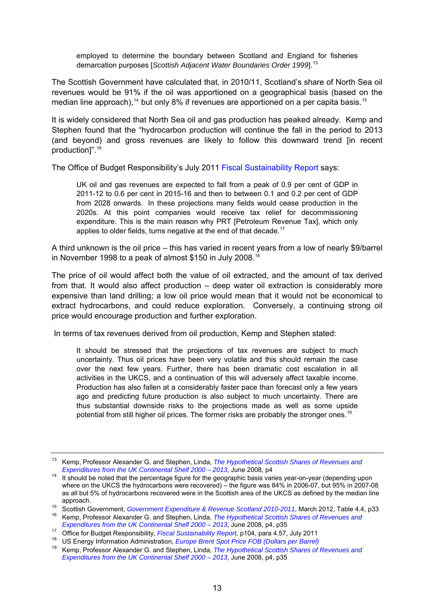employed to determine the boundary between Scotland and England for fisheries demarcation purposes [*Scottish Adjacent Water Boundaries Order 1999*].<sup>[13](#page-12-0)</sup>

The Scottish Government have calculated that, in 2010/11, Scotland's share of North Sea oil revenues would be 91% if the oil was apportioned on a geographical basis (based on the median line approach),<sup>[14](#page-12-1)</sup> but only 8% if revenues are apportioned on a per capita basis.<sup>[15](#page-12-2)</sup>

It is widely considered that North Sea oil and gas production has peaked already. Kemp and Stephen found that the "hydrocarbon production will continue the fall in the period to 2013 (and beyond) and gross revenues are likely to follow this downward trend [in recent production]".[16](#page-12-3)

The Office of Budget Responsibility's July 2011 [Fiscal Sustainability Report](http://budgetresponsibility.independent.gov.uk/wordpress/docs/FSR2011.pdf) says:

UK oil and gas revenues are expected to fall from a peak of 0.9 per cent of GDP in 2011-12 to 0.6 per cent in 2015-16 and then to between 0.1 and 0.2 per cent of GDP from 2028 onwards. In these projections many fields would cease production in the 2020s. At this point companies would receive tax relief for decommissioning expenditure. This is the main reason why PRT [Petroleum Revenue Tax], which only applies to older fields, turns negative at the end of that decade. $17$ 

A third unknown is the oil price – this has varied in recent years from a low of nearly \$9/barrel in November 1998 to a peak of almost \$150 in July 2008.[18](#page-12-5)

The price of oil would affect both the value of oil extracted, and the amount of tax derived from that. It would also affect production – deep water oil extraction is considerably more expensive than land drilling; a low oil price would mean that it would not be economical to extract hydrocarbons, and could reduce exploration. Conversely, a continuing strong oil price would encourage production and further exploration.

In terms of tax revenues derived from oil production, Kemp and Stephen stated:

It should be stressed that the projections of tax revenues are subject to much uncertainty. Thus oil prices have been very volatile and this should remain the case over the next few years. Further, there has been dramatic cost escalation in all activities in the UKCS, and a continuation of this will adversely affect taxable income. Production has also fallen at a considerably faster pace than forecast only a few years ago and predicting future production is also subject to much uncertainty. There are thus substantial downside risks to the projections made as well as some upside potential from still higher oil prices. The former risks are probably the stronger ones.<sup>[19](#page-12-6)</sup>

<span id="page-12-0"></span><sup>13</sup> Kemp, Professor Alexander G. and Stephen, Linda, *[The Hypothetical Scottish Shares of Revenues and](http://www.scotland.gov.uk/Resource/Doc/133434/0061924.pdf)* 

<span id="page-12-1"></span>*Expenditures from the UK Continental Shelf 2000 – 2013*[,](http://www.scotland.gov.uk/Resource/Doc/133434/0061924.pdf) June 2008, p4 14 It should be noted that the percentage figure for the geographic basis varies year-on-year (depending upon where on the UKCS the hydrocarbons were recovered) – the figure was 84% in 2006-07, but 95% in 2007-08 as all but 5% of hydrocarbons recovered were in the Scottish area of the UKCS as defined by the median line

<span id="page-12-2"></span>approach.<br><sup>15</sup> Scottish Government, Government Expenditure & Revenue Scotland 2010-2011, March 2012, Table 4.4, p33<br><sup>16</sup> Kemp, Professor Alexander G. and Stephen, Linda, *The Hypothetical Scottish Shares of Revenues and<br>Ex* 

<span id="page-12-4"></span><span id="page-12-3"></span><sup>&</sup>lt;sup>17</sup> Office for Budget Responsibility[,](http://www.scotland.gov.uk/Resource/Doc/133434/0061924.pdf) *Fiscal Sustainability Report,* p104, para 4.57, July 2011<br><sup>18</sup> US Energy Information Administration, *Europe Brent Spot Price FOB (Dollars per Barrel)*<br><sup>19</sup> Komp Professor Alexander

<span id="page-12-6"></span><span id="page-12-5"></span><sup>19</sup> Kemp, Professor Alexander G. and Stephen, Linda, *[The Hypothetical Scottish Shares of Revenues and](http://www.scotland.gov.uk/Resource/Doc/133434/0061924.pdf)  [Expenditures from the UK Continental Shelf 2000 – 2013](http://www.scotland.gov.uk/Resource/Doc/133434/0061924.pdf)*, June 2008, p4, p35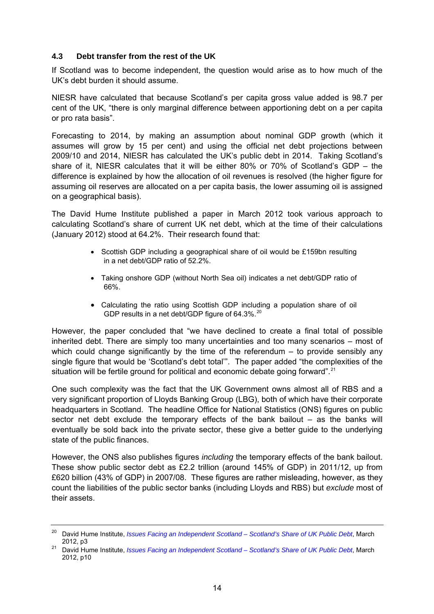## <span id="page-13-0"></span>**4.3 Debt transfer from the rest of the UK**

If Scotland was to become independent, the question would arise as to how much of the UK's debt burden it should assume.

NIESR have calculated that because Scotland's per capita gross value added is 98.7 per cent of the UK, "there is only marginal difference between apportioning debt on a per capita or pro rata basis".

Forecasting to 2014, by making an assumption about nominal GDP growth (which it assumes will grow by 15 per cent) and using the official net debt projections between 2009/10 and 2014, NIESR has calculated the UK's public debt in 2014. Taking Scotland's share of it, NIESR calculates that it will be either 80% or 70% of Scotland's GDP – the difference is explained by how the allocation of oil revenues is resolved (the higher figure for assuming oil reserves are allocated on a per capita basis, the lower assuming oil is assigned on a geographical basis).

The David Hume Institute published a paper in March 2012 took various approach to calculating Scotland's share of current UK net debt, which at the time of their calculations (January 2012) stood at 64.2%. Their research found that:

- Scottish GDP including a geographical share of oil would be £159bn resulting in a net debt/GDP ratio of 52.2%.
- Taking onshore GDP (without North Sea oil) indicates a net debt/GDP ratio of 66%.
- Calculating the ratio using Scottish GDP including a population share of oil GDP results in a net debt/GDP figure of 64.3%.<sup>[20](#page-13-1)</sup>

However, the paper concluded that "we have declined to create a final total of possible inherited debt. There are simply too many uncertainties and too many scenarios – most of which could change significantly by the time of the referendum  $-$  to provide sensibly any single figure that would be 'Scotland's debt total'". The paper added "the complexities of the situation will be fertile ground for political and economic debate going forward".<sup>[21](#page-13-2)</sup>

One such complexity was the fact that the UK Government owns almost all of RBS and a very significant proportion of Lloyds Banking Group (LBG), both of which have their corporate headquarters in Scotland. The headline Office for National Statistics (ONS) figures on public sector net debt exclude the temporary effects of the bank bailout – as the banks will eventually be sold back into the private sector, these give a better guide to the underlying state of the public finances.

However, the ONS also publishes figures *including* the temporary effects of the bank bailout. These show public sector debt as £2.2 trillion (around 145% of GDP) in 2011/12, up from £620 billion (43% of GDP) in 2007/08. These figures are rather misleading, however, as they count the liabilities of the public sector banks (including Lloyds and RBS) but *exclude* most of their assets.

<span id="page-13-1"></span><sup>20</sup> David Hume Institute, *[Issues Facing an Independent Scotland – Scotland's Share of UK Public Debt](http://www.davidhumeinstitute.com/images/stories/publications/other/Scottish_Share_of_UK_Debt.pdf)*, March

<span id="page-13-2"></span><sup>2012,</sup> p3 21 David Hume Institute, *[Issues Facing an Independent Scotland – Scotland's Share of UK Public Debt](http://www.davidhumeinstitute.com/images/stories/publications/other/Scottish_Share_of_UK_Debt.pdf)*, March 2012, p10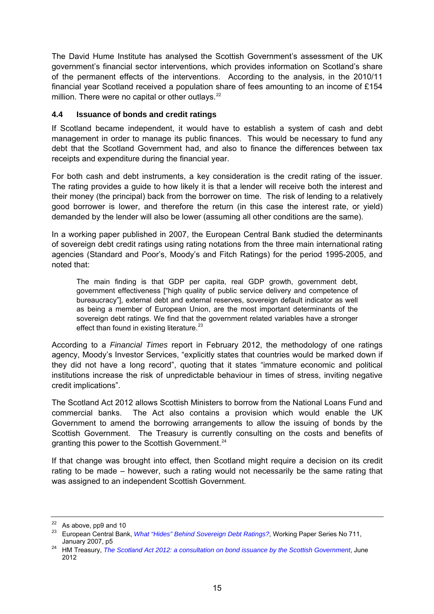<span id="page-14-0"></span>The David Hume Institute has analysed the Scottish Government's assessment of the UK government's financial sector interventions, which provides information on Scotland's share of the permanent effects of the interventions. According to the analysis, in the 2010/11 financial year Scotland received a population share of fees amounting to an income of £154 million. There were no capital or other outlays.<sup>[22](#page-14-1)</sup>

## **4.4 Issuance of bonds and credit ratings**

If Scotland became independent, it would have to establish a system of cash and debt management in order to manage its public finances. This would be necessary to fund any debt that the Scotland Government had, and also to finance the differences between tax receipts and expenditure during the financial year.

For both cash and debt instruments, a key consideration is the credit rating of the issuer. The rating provides a guide to how likely it is that a lender will receive both the interest and their money (the principal) back from the borrower on time. The risk of lending to a relatively good borrower is lower, and therefore the return (in this case the interest rate, or yield) demanded by the lender will also be lower (assuming all other conditions are the same).

In a working paper published in 2007, the European Central Bank studied the determinants of sovereign debt credit ratings using rating notations from the three main international rating agencies (Standard and Poor's, Moody's and Fitch Ratings) for the period 1995-2005, and noted that:

The main finding is that GDP per capita, real GDP growth, government debt, government effectiveness ["high quality of public service delivery and competence of bureaucracy"], external debt and external reserves, sovereign default indicator as well as being a member of European Union, are the most important determinants of the sovereign debt ratings. We find that the government related variables have a stronger effect than found in existing literature.<sup>[23](#page-14-2)</sup>

According to a *Financial Times* report in February 2012, the methodology of one ratings agency, Moody's Investor Services, "explicitly states that countries would be marked down if they did not have a long record", quoting that it states "immature economic and political institutions increase the risk of unpredictable behaviour in times of stress, inviting negative credit implications".

The Scotland Act 2012 allows Scottish Ministers to borrow from the National Loans Fund and commercial banks. The Act also contains a provision which would enable the UK Government to amend the borrowing arrangements to allow the issuing of bonds by the Scottish Government. The Treasury is currently consulting on the costs and benefits of granting this power to the Scottish Government.<sup>[24](#page-14-3)</sup>

If that change was brought into effect, then Scotland might require a decision on its credit rating to be made – however, such a rating would not necessarily be the same rating that was assigned to an independent Scottish Government.

<span id="page-14-1"></span> $22$  As above, pp9 and 10

<span id="page-14-2"></span><sup>23</sup> European Central Bank, *[What "Hides" Behind Sovereign Debt Ratings?](http://www.ecb.int/pub/pdf/scpwps/ecbwp711.pdf)*, Working Paper Series No 711,

<span id="page-14-3"></span>January 2007, p5 24 HM Treasury, *[The Scotland Act 2012: a consultation on bond issuance by the Scottish Government](http://www.hm-treasury.gov.uk/press_50_12.htm)*, June 2012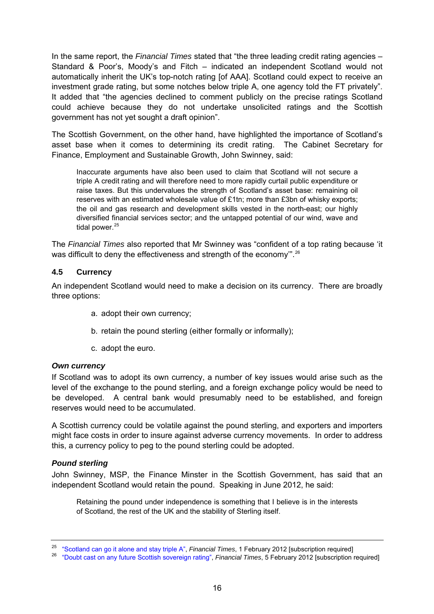<span id="page-15-0"></span>In the same report, the *Financial Times* stated that "the three leading credit rating agencies – Standard & Poor's, Moody's and Fitch – indicated an independent Scotland would not automatically inherit the UK's top-notch rating [of AAA]. Scotland could expect to receive an investment grade rating, but some notches below triple A, one agency told the FT privately". It added that "the agencies declined to comment publicly on the precise ratings Scotland could achieve because they do not undertake unsolicited ratings and the Scottish government has not yet sought a draft opinion".

The Scottish Government, on the other hand, have highlighted the importance of Scotland's asset base when it comes to determining its credit rating. The Cabinet Secretary for Finance, Employment and Sustainable Growth, John Swinney, said:

Inaccurate arguments have also been used to claim that Scotland will not secure a triple A credit rating and will therefore need to more rapidly curtail public expenditure or raise taxes. But this undervalues the strength of Scotland's asset base: remaining oil reserves with an estimated wholesale value of £1tn; more than £3bn of whisky exports; the oil and gas research and development skills vested in the north-east; our highly diversified financial services sector; and the untapped potential of our wind, wave and tidal power. $25$ 

The *Financial Times* also reported that Mr Swinney was "confident of a top rating because 'it was difficult to deny the effectiveness and strength of the economy".<sup>[26](#page-15-2)</sup>

## **4.5 Currency**

An independent Scotland would need to make a decision on its currency. There are broadly three options:

- a. adopt their own currency;
- b. retain the pound sterling (either formally or informally);
- c. adopt the euro.

## *Own currency*

If Scotland was to adopt its own currency, a number of key issues would arise such as the level of the exchange to the pound sterling, and a foreign exchange policy would be need to be developed. A central bank would presumably need to be established, and foreign reserves would need to be accumulated.

A Scottish currency could be volatile against the pound sterling, and exporters and importers might face costs in order to insure against adverse currency movements. In order to address this, a currency policy to peg to the pound sterling could be adopted.

## *Pound sterling*

John Swinney, MSP, the Finance Minster in the Scottish Government, has said that an independent Scotland would retain the pound. Speaking in June 2012, he said:

Retaining the pound under independence is something that I believe is in the interests of Scotland, the rest of the UK and the stability of Sterling itself.

<span id="page-15-2"></span><span id="page-15-1"></span><sup>&</sup>lt;sup>25</sup> ["Scotland can go it alone and stay triple A"](http://www.ft.com/cms/s/0/66bca4c2-4cf0-11e1-bdd1-00144feabdc0.html#axzz1lazAsdz3), Financial Times, 1 February 2012 [subscription required]<br><sup>26</sup> ["Doubt cast on any future Scottish sovereign rating"](http://www.ft.com/cms/s/0/c289e5f8-4e80-11e1-8670-00144feabdc0.html#axzz1lazAsdz3), Financial Times, 5 February 2012 [subscription required